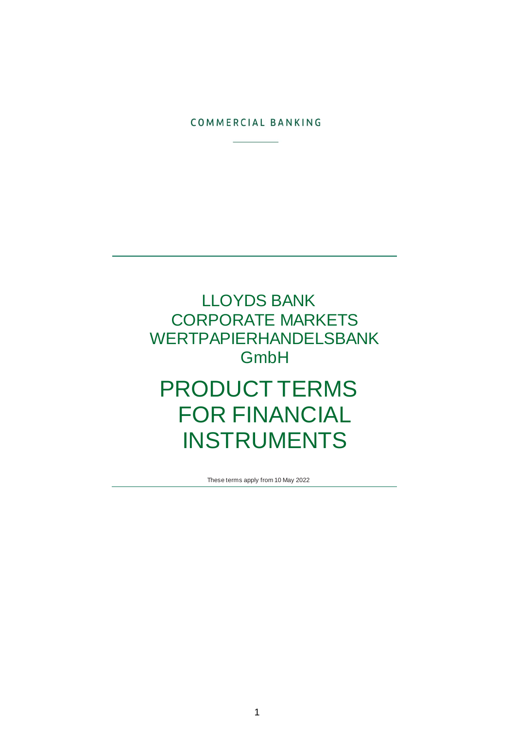### COMMERCIAL BANKING

# LLOYDS BANK CORPORATE MARKETS WERTPAPIERHANDELSBANK GmbH PRODUCT TERMS FOR FINANCIAL INSTRUMENTS

These terms apply from 10 May 2022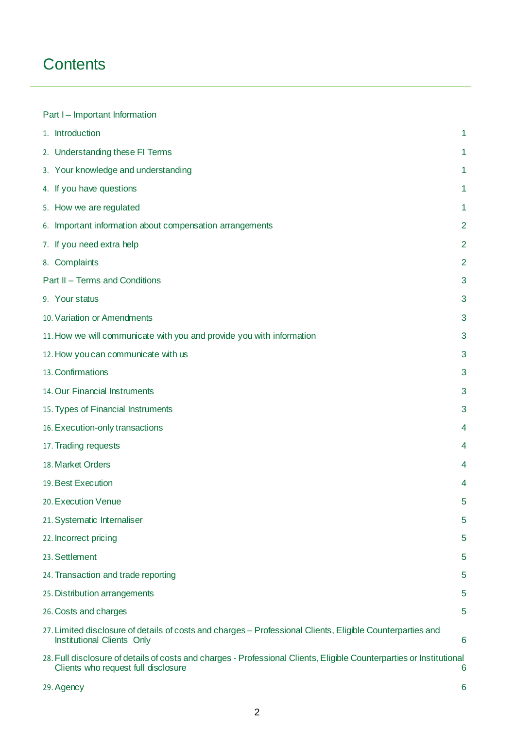# **Contents**

| Part I - Important Information                                                                                                                              |                |
|-------------------------------------------------------------------------------------------------------------------------------------------------------------|----------------|
| 1. Introduction                                                                                                                                             | 1              |
| 2. Understanding these FI Terms                                                                                                                             | 1              |
| 3. Your knowledge and understanding                                                                                                                         | 1              |
| 4. If you have questions                                                                                                                                    | 1              |
| 5. How we are regulated                                                                                                                                     | 1              |
| 6. Important information about compensation arrangements                                                                                                    | 2              |
| 7. If you need extra help                                                                                                                                   | $\overline{2}$ |
| 8. Complaints                                                                                                                                               | $\overline{2}$ |
| Part II - Terms and Conditions                                                                                                                              | 3              |
| 9. Your status                                                                                                                                              | 3              |
| 10. Variation or Amendments                                                                                                                                 | 3              |
| 11. How we will communicate with you and provide you with information                                                                                       | 3              |
| 12. How you can communicate with us                                                                                                                         | 3              |
| 13. Confirmations                                                                                                                                           | 3              |
| 14. Our Financial Instruments                                                                                                                               | 3              |
| 15. Types of Financial Instruments                                                                                                                          | 3              |
| 16. Execution-only transactions                                                                                                                             | 4              |
| 17. Trading requests                                                                                                                                        | 4              |
| 18. Market Orders                                                                                                                                           | 4              |
| 19. Best Execution                                                                                                                                          | 4              |
| 20. Execution Venue                                                                                                                                         | 5              |
| 21. Systematic Internaliser                                                                                                                                 | 5              |
| 22. Incorrect pricing                                                                                                                                       | 5              |
| 23. Settlement                                                                                                                                              | 5              |
| 24. Transaction and trade reporting                                                                                                                         | 5              |
| 25. Distribution arrangements                                                                                                                               | 5              |
| 26. Costs and charges                                                                                                                                       | 5              |
| 27. Limited disclosure of details of costs and charges – Professional Clients, Eligible Counterparties and<br><b>Institutional Clients Only</b>             | 6              |
| 28. Full disclosure of details of costs and charges - Professional Clients, Eligible Counterparties or Institutional<br>Clients who request full disclosure | 6              |
| 29. Agency                                                                                                                                                  | 6              |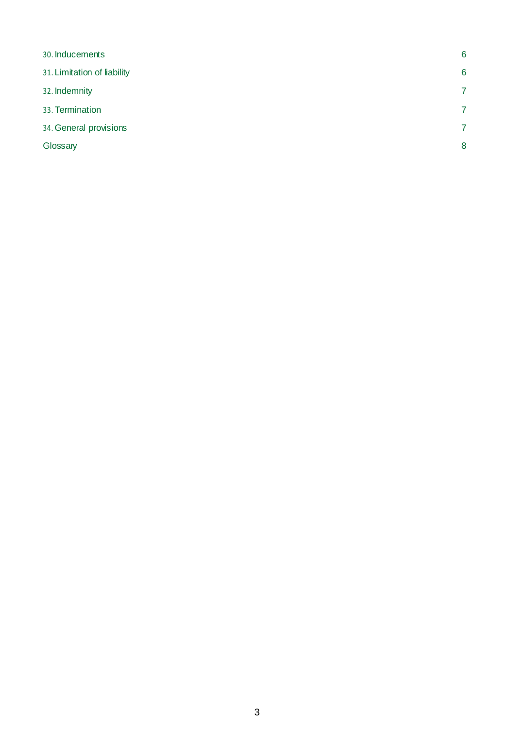| 30. Inducements             | 6              |
|-----------------------------|----------------|
| 31. Limitation of liability | 6              |
| 32. Indemnity               | 7              |
| 33. Termination             | 7              |
| 34. General provisions      | $\overline{7}$ |
| Glossary                    | 8              |
|                             |                |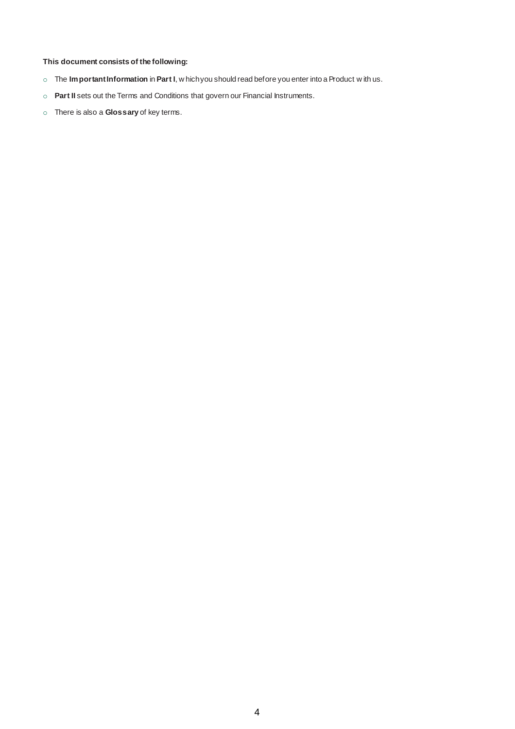### **This document consists of the following:**

- o The **Important Information** in **Part I**, w hich you should read before you enter into a Product w ith us.
- o **Part II** sets out the Terms and Conditions that govern our Financial Instruments.
- o There is also a **Glossary** of key terms.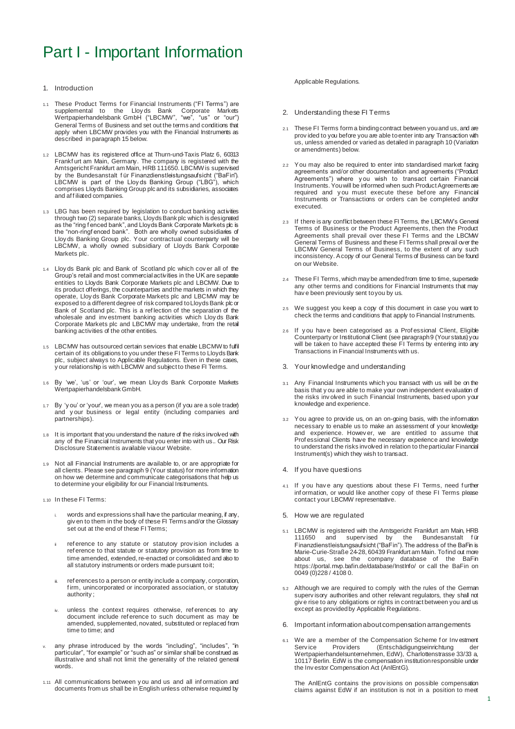### Part I - Important Information

#### 1. Introduction

- 1.1 These Product Terms for Financial Instruments ("FI Terms") are supplemental to the Lloy ds Bank Corporate Markets Wertpapierhandelsbank GmbH ("LBCMW", "we", "us" or "our") General Terms of Business and set out the terms and conditions that apply when LBCMW provides you with the Financial Instruments as described in paragraph 15 below.
- 1.2 LBCMW has its registered office at Thurn-und-Taxis Platz 6, 60313 Frankf urt am Main, Germany. The company is registered with the Amtsgericht Frankfurt am Main, HRB 111650. LBCMW is supervised by the Bundesanstalt f ür Finanzdienstleistungsaufsicht ("BaFin"). LBCMW is part of the Lloy ds Banking Group ("LBG"), which comprises Lloyds Banking Group plc and its subsidiaries, associates and af f iliated companies.
- 1.3 LBG has been required by legislation to conduct banking activities through two (2) separate banks, Lloyds Bank plc which is designated as the "ring f enced bank", and Lloyds Bank Corporate Markets plc is the "non-ringfenced bank". Both are wholly owned subsidiaries of Lloy ds Banking Group plc. Your contractual counterparty will be LBCMW, a wholly owned subsidiary of Lloyds Bank Corporate Markets plc.
- 1.4 Lloy ds Bank plc and Bank of Scotland plc which cov er all of the Group's retail and most commercial activities in the UK are separate entities to Lloyds Bank Corporate Markets plc and LBCMW. Due to its product offerings, the counterparties and the markets in which they operate, Lloy ds Bank Corporate Markets plc and LBCMW may be exposed to a different degree of risk compared to Lloyds Bank plc or Bank of Scotland plc. This is a ref lection of the separation of the wholesale and inv estment banking activities which Lloy ds Bank Corporate Markets plc and LBCMW may undertake, from the retail banking activities of the other entities.
- 1.5 LBCMW has outsourced certain services that enable LBCMW to fulfil certain of its obligations to you under these FI Terms to Lloyds Bank plc, subject always to Applicable Regulations. Even in these cases, y our relationship is with LBCMW and subject to these FI Terms.
- 1.6 By 'we', 'us' or 'our', we mean Lloy ds Bank Corporate Markets Wertpapierhandelsbank GmbH.
- 1.7 By 'y ou' or 'your', we mean you as a person (if you are a sole trader) and y our business or legal entity (including companies and partnerships).
- 1.8 It is important that you understand the nature of the risks involved with any of the Financial Instruments that you enter into with us.. Our Risk Disclosure Statement is available via our Website.
- Not all Financial Instruments are available to, or are appropriate for all clients. Please see paragraph 9 (Your status) for more information on how we determine and communicate categorisations that help us to determine your eligibility for our Financial Instruments.
- 1.10 In these FI Terms:
	- words and expressions shall have the particular meaning, if any, giv en to them in the body of these FI Terms and/or the Glossary set out at the end of these FI Terms:
	- ref erence to any statute or statutory provision includes a ref erence to that statute or statutory provision as from time to time amended, extended, re-enacted or consolidated and also to all statutory instruments or orders made pursuant to it;
	- ref erences to a person or entity include a company, corporation, firm, unincorporated or incorporated association, or statutory authority ;
	- unless the context requires otherwise, references to any document include ref erence to such document as may be amended, supplemented, novated, substituted or replaced from time to time; and
- v. any phrase introduced by the words "including", "includes", "in particular", "for example" or "such as" or similar shall be construed as illustrative and shall not limit the generality of the related general words.
- 1.11 All communications between y ou and us and all inf ormation and documents from us shall be in English unless otherwise required by

#### Applicable Regulations.

- 2. Understanding these FI Terms
- 2.1 These FI Terms form a binding contract between you and us, and are prov ided to you before you are able to enter into any Transaction with us, unless amended or varied as detailed in paragraph 10 (Variation or amendments) below.
- 2.2 You may also be required to enter into standardised market facing agreements and/or other documentation and agreements ("Product Agreements") where you wish to transact certain Financial Instruments. You will be informed when such Product Agreements are required and you must execute these before any Financial Instruments or Transactions or orders can be completed and/or executed.
- 2.3 If there is any conflict between these FI Terms, the LBCMW's General Terms of Business or the Product Agreements, then the Product Agreements shall prevail over these FI Terms and the LBCMW General Terms of Business and these FI Terms shall prevail over the LBCMW General Terms of Business, to the extent of any such inconsistency. A copy of our General Terms of Business can be found on our Website.
- These FI Terms, which may be amended from time to time, supersede any other terms and conditions for Financial Instruments that may hav e been previously sent to you by us.
- 2.5 We suggest you keep a copy of this document in case you want to check the terms and conditions that apply to Financial Instruments.
- 2.6 If y ou hav e been categorised as a Prof essional Client, Eligible Counterparty or Institutional Client (see paragraph 9 (Your status) you will be taken to have accepted these FI Terms by entering into any Transactions in Financial Instruments with us.
- 3. Your knowledge and understanding
- 3.1 Any Financial Instruments which you transact with us will be on the basis that y ou are able to make your own independent evaluation of the risks inv olved in such Financial Instruments, based upon your knowledge and experience.
- 3.2 You agree to provide us, on an on-going basis, with the information necessary to enable us to make an assessment of your knowledge and experience. Howev er, we are entitled to assume that Prof essional Clients have the necessary experience and knowledge to understand the risks involved in relation to the particular Financial Instrument(s) which they wish to transact.
- 4. If you have questions
- 4.1 If you have any questions about these FI Terms, need further inf ormation, or would like another copy of these FI Terms please contact your LBCMW representative.
- 5. How we are regulated
- 5.1 LBCMW is registered with the Amtsgericht Frankfurt am Main, HRB 111650 and supervised by the Bundesanstalt für Finanzdienstleistungsaufsicht ("BaFin"). The address of the BaFin is Marie-Curie-Straße 24-28, 60439 Frankfurt am Main. To find out more about us, see the company database of the BaFin https://portal.mvp.bafin.de/database/InstInfo/ or call the BaFin on 0049 (0)228 / 4108 0.
- 5.2 Although we are required to comply with the rules of the German superv isory authorities and other relevant regulators, they shall not giv e rise to any obligations or rights in contract between you and us except as provided by Applicable Regulations.
- 6. Important information about compensation arrangements
- 6.1 We are a member of the Compensation Scheme for Investment<br>Service Providers (Entschädigungseinrichtung der Entschädigungseinrichtung Wertpapierhandelsunternehmen, EdW), Charlottenstrasse 33/33 a, 10117 Berlin. EdW is the compensation institution responsible under the Inv estor Compensation Act (AnlEntG).

The AnlEntG contains the prov isions on possible compensation claims against EdW if an institution is not in a position to meet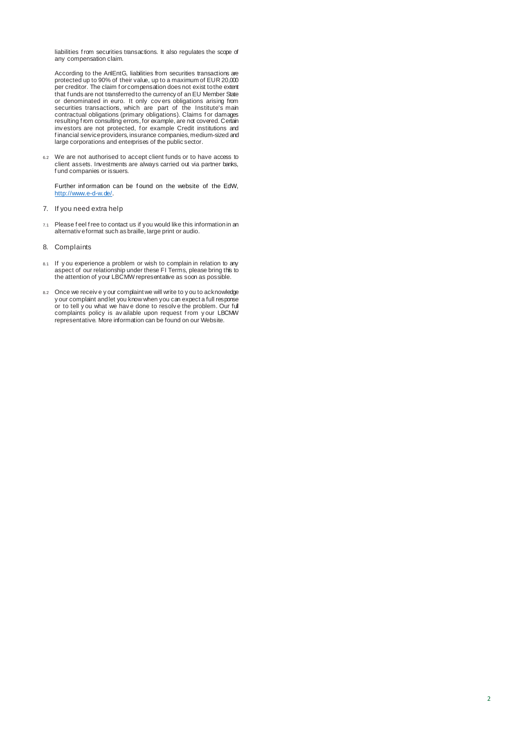liabilities f rom securities transactions. It also regulates the scope of any compensation claim.

According to the AnlEntG, liabilities from securities transactions are protected up to 90% of their value, up to a maximum of EUR 20,000 per creditor. The claim f or compensation does not exist to the extent that f unds are not transferred to the currency of an EU Member State or denominated in euro. It only cov ers obligations arising from securities transactions, which are part of the Institute's main contractual obligations (primary obligations). Claims f or damages resulting f rom consulting errors, for example, are not covered. Certain inv estors are not protected, f or example Credit institutions and f inancial service providers, insurance companies, medium-sized and large corporations and enterprises of the public sector.

6.2 We are not authorised to accept client funds or to have access to client assets. Investments are always carried out via partner banks, f und companies or issuers.

Further inf ormation can be f ound on the website of the EdW, [http://www.e-d-w.de/.](http://www.e-d-w.de/)

- 7. If you need extra help
- 7.1 Please f eel f ree to contact us if you would like this information in an alternativ e format such as braille, large print or audio.
- 8. Complaints
- 8.1 If you experience a problem or wish to complain in relation to any aspect of our relationship under these FI Terms, please bring this to the attention of your LBCMW representative as soon as possible.
- 8.2 Once we receive y our complaint we will write to y ou to acknowledge y our complaint and let you know when you can expect a full response or to tell y ou what we hav e done to resolv e the problem. Our full complaints policy is available upon request from y our LBCMW representative. More information can be found on our Website.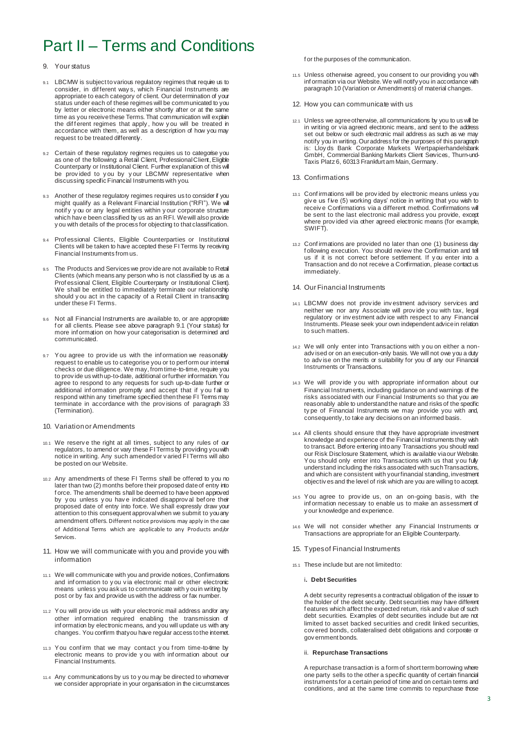## Part II – Terms and Conditions

#### 9. Your status

- 9.1 LBCMW is subject to various regulatory regimes that require us to consider, in dif ferent way s, which Financial Instruments are appropriate to each category of client. Our determination of your status under each of these regimes will be communicated to you by letter or electronic means either shortly after or at the same time as you receive these Terms. That communication will explain the different regimes that apply, how you will be treated in accordance with them, as well as a description of how you may request to be treated differently.
- Certain of these regulatory regimes requires us to categorise you as one of the following: a Retail Client, Professional Client, Eligible Counterparty or Institutional Client. Further explanation of this will be prov ided to y ou by y our LBCMW representative when discussing specific Financial Instruments with you.
- 9.3 Another of these regulatory regimes requires us to consider if you might qualify as a Relevant Financial Institution ("RFI"). We will notif y y ou or any legal entities within y our corporate structure which hav e been classified by us as an RFI. We will also provide y ou with details of the process for objecting to that classification.
- Professional Clients, Eligible Counterparties or Institutional Clients will be taken to have accepted these FI Terms by receiving Financial Instruments from us.
- The Products and Services we provide are not available to Retail Clients (which means any person who is not classified by us as a Prof essional Client, Eligible Counterparty or Institutional Client). We shall be entitled to immediately terminate our relationship should y ou act in the capacity of a Retail Client in transacting under these FI Terms.
- 9.6 Not all Financial Instruments are available to, or are appropriate f or all clients. Please see above paragraph 9.1 (Your status) for more inf ormation on how your categorisation is determined and communicated.
- 9.7 You agree to provide us with the information we reasonably request to enable us to categorise you or to perf orm our internal checks or due diligence. We may, from time-to-time, require you to prov ide us with up-to-date, additional or further information. You agree to respond to any requests for such up-to-date further or additional inf ormation promptly and accept that if y ou f ail to respond within any timeframe specified then these FI Terms may terminate in accordance with the prov isions of paragraph 33 (Termination).
- 10. Variation or Amendments
- 10.1 We reserv e the right at all times, subject to any rules of our regulators, to amend or vary these FI Terms by providing you with notice in writing. Any such amended or v aried FI Terms will also be posted on our Website.
- 10.2 Any amendments of these FI Terms shall be offered to you no later than two (2) months before their proposed date of entry into f orce. The amendments shall be deemed to have been approved by y ou unless y ou hav e indicated disapprov al bef ore their proposed date of entry into force. We shall expressly draw your attention to this consequent approval when we submit to you any amendment offers. Different notice provisions may apply in the case of Additional Terms which are applicable to any Products and/or Services.
- 11. How we will communicate with you and provide you with information
- 11.1 We will communicate with you and provide notices, Confirmations and inf ormation to y ou v ia electronic mail or other electronic means unless you ask us to communicate with y ou in writing by post or by fax and provide us with the address or fax number.
- 11.2 You will prov ide us with your electronic mail address and/or any other inf ormation required enabling the transmission of inf ormation by electronic means, and you will update us with any changes. You confirm that you have regular access to the internet.
- 11.3 You conf irm that we may contact y ou f rom time-to-time by electronic means to prov ide y ou with inf ormation about our Financial Instruments.
- 11.4 Any communications by us to y ou may be directed to whomever we consider appropriate in your organisation in the circumstances

f or the purposes of the communication.

- 11.5 Unless otherwise agreed, you consent to our providing you with inf ormation via our Website. We will notify you in accordance with paragraph 10 (Variation or Amendments) of material changes.
- 12. How you can communicate with us
- 12.1 Unless we agree otherwise, all communications by you to us will be in writing or via agreed electronic means, and sent to the address set out below or such electronic mail address as such as we may notify you in writing. Our address for the purposes of this paragraph is: Lloy ds Bank Corporate Markets Wertpapierhandelsbank GmbH, Commercial Banking Markets Client Services, Thurn-und-Taxis Platz 6, 60313 Frankfurt am Main, Germany.
- 13. Confirmations
- 13.1 Conf irmations will be prov ided by electronic means unless you giv e us five (5) working days' notice in writing that you wish to receiv e Confirmations via a different method. Confirmations will be sent to the last electronic mail address you provide, except where prov ided via other agreed electronic means (for example, SWIFT).
- 13.2 Conf irmations are provided no later than one (1) business day f ollowing execution. You should review the Confirmation and tell us if it is not correct bef ore settlement. If y ou enter into a Transaction and do not receive a Confirmation, please contact us immediately.
- 14. Our Financial Instruments
- 14.1 LBCMW does not prov ide inv estment advisory services and neither we nor any Associate will prov ide y ou with tax, legal regulatory or inv estment adv ice with respect to any Financial Instruments. Please seek your own independent advice in relation to such matters.
- 14.2 We will only enter into Transactions with y ou on either a nonadv ised or on an execution-only basis. We will not owe you a duty to adv ise on the merits or suitability for you of any our Financial Instruments or Transactions.
- 14.3 We will prov ide y ou with appropriate inf ormation about our Financial Instruments, including guidance on and warnings of the risks associated with our Financial Instruments so that you are reasonably able to understand the nature and risks of the specific ty pe of Financial Instruments we may provide you with and, consequently, to take any decisions on an informed basis.
- 14.4 All clients should ensure that they have appropriate investment knowledge and experience of the Financial Instruments they wish to transact. Before entering into any Transactions you should read our Risk Disclosure Statement, which is available via our Website. You should only enter into Transactions with us that you fully understand including the risks associated with such Transactions, and which are consistent with your financial standing, investment objectiv es and the level of risk which are you are willing to accept.
- 14.5 You agree to prov ide us, on an on-going basis, with the inf ormation necessary to enable us to make an assessment of y our knowledge and experience.
- 14.6 We will not consider whether any Financial Instruments or Transactions are appropriate for an Eligible Counterparty.
- 15. Types of Financial Instruments
- 15.1 These include but are not limited to:
	- i**. Debt Securities**

A debt security represents a contractual obligation of the issuer to the holder of the debt security. Debt securities may have different f eatures which affect the expected return, risk and v alue of such debt securities. Examples of debt securities include but are not limited to asset backed securities and credit linked securities, cov ered bonds, collateralised debt obligations and corporate or gov ernment bonds.

ii. **Repurchase Transactions**

A repurchase transaction is a form of short term borrowing where one party sells to the other a specific quantity of certain financial instruments for a certain period of time and on certain terms and conditions, and at the same time commits to repurchase those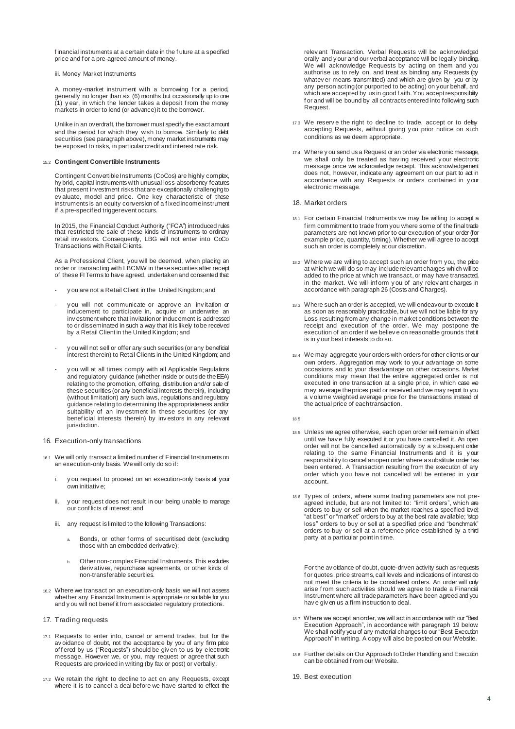financial instruments at a certain date in the future at a specified price and f or a pre-agreed amount of money.

iii. Money Market Instruments

A money-market instrument with a borrowing for a period, generally no longer than six (6) months but occasionally up to one (1) y ear, in which the lender takes a deposit f rom the money markets in order to lend (or advance) it to the borrower.

Unlike in an overdraft, the borrower must specify the exact amount and the period f or which they wish to borrow. Similarly to debt securities (see paragraph above), money market instruments may be exposed to risks, in particular credit and interest rate risk.

#### 15.2 **Contingent Convertible Instruments**

Contingent Convertible Instruments (CoCos) are highly complex, hy brid, capital instruments with unusual loss-absorbency features that present investment risks that are exceptionally challenging to ev aluate, model and price. One key characteristic of these instruments is an equity conversion of a f ixed income instrument if a pre-specified trigger event occurs.

In 2015, the Financial Conduct Authority ("FCA") introduced rules that restricted the sale of these kinds of instruments to ordinary retail inv estors. Consequently, LBG will not enter into CoCo Transactions with Retail Clients.

As a Prof essional Client, you will be deemed, when placing an order or transacting with LBCMW in these securities after receipt of these FI Terms to have agreed, undertaken and consented that:

- y ou are not a Retail Client in the United Kingdom; and
- y ou will not communicate or approv e an inv itation or inducement to participate in, acquire or underwrite an inv estment where that invitation or inducement is addressed to or disseminated in such a way that it is likely to be received by a Retail Client in the United Kingdom; and
- y ou will not sell or offer any such securities (or any beneficial interest therein) to Retail Clients in the United Kingdom; and
- y ou will at all times comply with all Applicable Regulations and regulatory guidance (whether inside or outside the EEA) relating to the promotion, offering, distribution and/or sale of these securities (or any beneficial interests therein), including (without limitation) any such laws, regulations and regulatory guidance relating to determining the appropriateness and/or suitability of an inv estment in these securities (or any benef icial interests therein) by inv estors in any relevant jurisdiction.
- 16. Execution-only transactions
- 16.1 We will only transact a limited number of Financial Instruments on an execution-only basis. We will only do so if:
	- i. y ou request to proceed on an execution-only basis at your own initiativ e;
	- ii. y our request does not result in our being unable to manage our conf licts of interest; and
	- iii. any request is limited to the following Transactions:
		- Bonds, or other forms of securitised debt (excluding those with an embedded derivative);
		- b. Other non-complex Financial Instruments. This excludes deriv atives, repurchase agreements, or other kinds of non-transferable securities.
- 16.2 Where we transact on an execution-only basis, we will not assess whether any Financial Instrument is appropriate or suitable for you and y ou will not benef it from associated regulatory protections.
- 17. Trading requests
- 17.1 Requests to enter into, cancel or amend trades, but for the av oidance of doubt, not the acceptance by you of any firm price offered by us ("Requests") should be giv en to us by electronic message. However we, or you, may request or agree that such Requests are provided in writing (by fax or post) or verbally.
- 17.2 We retain the right to decline to act on any Requests, except where it is to cancel a deal before we have started to effect the

relev ant Transaction. Verbal Requests will be acknowledged orally and y our and our verbal acceptance will be legally binding. We will acknowledge Requests by acting on them and you authorise us to rely on, and treat as binding any Requests (by whatev er means transmitted) and which are given by you or by any person acting (or purported to be acting) on your behalf, and which are accepted by us in good f aith. You accept responsibility f or and will be bound by all contracts entered into following such Request.

- 17.3 We reserv e the right to decline to trade, accept or to delay accepting Requests, without giving y ou prior notice on such conditions as we deem appropriate.
- 17.4 Where y ou send us a Request or an order via electronic message, we shall only be treated as hav ing received y our electronic message once we acknowledge receipt. This acknowledgement does not, however, indicate any agreement on our part to act in accordance with any Requests or orders contained in y our electronic message.

#### 18. Market orders

- 18.1 For certain Financial Instruments we may be willing to accept a f irm commitment to trade from you where some of the final trade parameters are not known prior to our execution of your order (for example price, quantity, timing). Whether we will agree to accept such an order is completely at our discretion.
- 18.2 Where we are willing to accept such an order from you, the price at which we will do so may include relevant charges which will be added to the price at which we transact, or may have transacted, in the market. We will inf orm y ou of any relev ant charges in accordance with paragraph 26 (Costs and Charges).
- 18.3 Where such an order is accepted, we will endeavour to execute it as soon as reasonably practicable, but we will not be liable for any Loss resulting from any change in market conditions between the receipt and execution of the order. We may postpone the execution of an order if we believ e on reasonable grounds that it is in y our best interests to do so.
- 18.4 We may aggregate your orders with orders for other clients or our own orders. Aggregation may work to your advantage on some occasions and to your disadvantage on other occasions. Market conditions may mean that the entire aggregated order is not executed in one transaction at a single price, in which case we may average the prices paid or received and we may report to you a v olume weighted average price for the transactions instead of the actual price of each transaction.
- 18.5
- 18.5 Unless we agree otherwise, each open order will remain in effect until we hav e fully executed it or you have cancelled it. An open order will not be cancelled automatically by a subsequent order relating to the same Financial Instruments and it is y our responsibility to cancel an open order where a substitute order has been entered. A Transaction resulting from the execution of any order which y ou hav e not cancelled will be entered in y our account.
- 18.6 Ty pes of orders, where some trading parameters are not preagreed include, but are not limited to: "limit orders", which are orders to buy or sell when the market reaches a specified level; "at best" or "market" orders to buy at the best rate available; "stop loss" orders to buy or sell at a specified price and "benchmark" orders to buy or sell at a reference price established by a third party at a particular point in time.

For the av oidance of doubt, quote-driven activity such as requests f or quotes, price streams, call levels and indications of interest do not meet the criteria to be considered orders. An order will only arise f rom such activities should we agree to trade a Financial Instrument where all trade parameters have been agreed and you hav e giv en us a firm instruction to deal.

- 18.7 Where we accept an order, we will act in accordance with our "Best Execution Approach", in accordance with paragraph 19 below. We shall notify you of any material changes to our "Best Execution" Approach" in writing. A copy will also be posted on our Website.
- 18.8 Further details on Our Approach to Order Handling and Execution can be obtained f rom our Website.
- 19. Best execution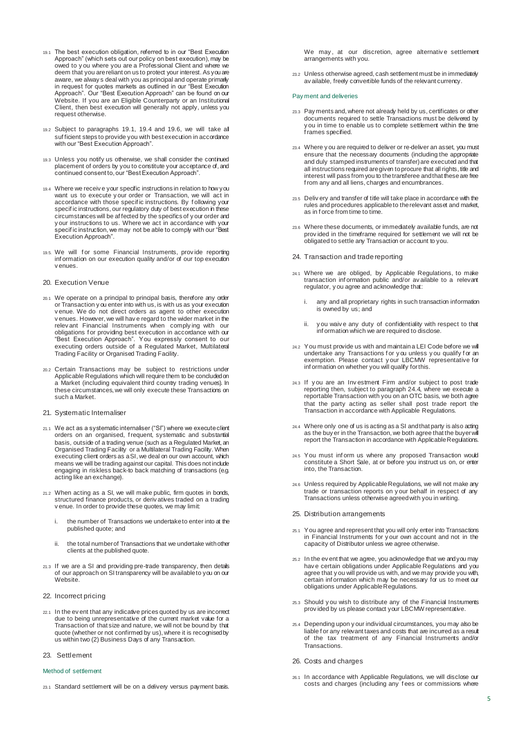- 19.1 The best execution obligation, referred to in our "Best Execution Approach" (which sets out our policy on best execution), may be owed to y ou where you are a Professional Client and where we deem that you are reliant on us to protect your interest. As you are aware, we alway s deal with you as principal and operate primarly in request for quotes markets as outlined in our "Best Execution Approach". Our "Best Execution Approach" can be found on our Website. If you are an Eligible Counterparty or an Institutional Client, then best execution will generally not apply, unless you request otherwise.
- 19.2 Subject to paragraphs 19.1, 19.4 and 19.6, we will take all suf ficient steps to provide you with best execution in accordance with our "Best Execution Approach".
- 19.3 Unless you notify us otherwise, we shall consider the continued placement of orders by you to constitute your acceptance of, and continued consent to, our "Best Execution Approach".
- 19.4 Where we receiv e your specific instructions in relation to how you want us to execute y our order or Transaction, we will act in accordance with those specif ic instructions. By f ollowing your specific instructions, our regulatory duty of best execution in these circumstances will be af fected by the specifics of y our order and y our instructions to us. Where we act in accordance with your specif ic instruction, we may not be able to comply with our "Best Execution Approach".
- 19.5. We will for some Financial Instruments, provide reporting inf ormation on our execution quality and/or of our top execution v enues.

#### 20. Execution Venue

- 20.1 We operate on a principal to principal basis, therefore any order or Transaction y ou enter into with us, is with us as your execution v enue. We do not direct orders as agent to other execution v enues. However, we will hav e regard to the wider market in the relev ant Financial Instruments when comply ing with our obligations for providing best execution in accordance with our "Best Execution Approach". You expressly consent to our executing orders outside of a Regulated Market, Multilateral Trading Facility or Organised Trading Facility.
- 20.2 Certain Transactions may be subject to restrictions under Applicable Regulations which will require them to be concluded on a Market (including equivalent third country trading venues). In these circumstances, we will only execute these Transactions on such a Market.
- 21. Systematic Internaliser
- 21.1 We act as a systematic internaliser ("SI") where we execute client orders on an organised, f requent, systematic and substantial basis, outside of a trading venue (such as a Regulated Market, an Organised Trading Facility or a Multilateral Trading Facility. When executing client orders as a SI, we deal on our own account, which means we will be trading against our capital. This does not include engaging in riskless back-to back matching of transactions (e.g. acting like an exchange).
- 21.2 When acting as a SI, we will make public, firm quotes in bonds, structured finance products, or deriv atives traded on a trading v enue. In order to provide these quotes, we may limit:
	- i. the number of Transactions we undertake to enter into at the published quote; and
	- ii. the total number of Transactions that we undertake with other clients at the published quote.
- 21.3 If we are a SI and providing pre-trade transparency, then details of our approach on SI transparency will be available to you on our Website.
- 22. Incorrect pricing
- 22.1 In the ev ent that any indicative prices quoted by us are incorrect due to being unrepresentative of the current market value for a Transaction of that size and nature, we will not be bound by that quote (whether or not confirmed by us), where it is recognised by us within two (2) Business Days of any Transaction.
- 23. Settlement

#### Method of settlement

23.1 Standard settlement will be on a delivery versus payment basis.

We may, at our discretion, agree alternative settlement arrangements with you.

23.2 Unless otherwise agreed, cash settlement must be in immediately av ailable, freely convertible funds of the relevant currency.

#### Pay ment and deliveries

- 23.3 Pay ments and, where not already held by us, certificates or other documents required to settle Transactions must be delivered by y ou in time to enable us to complete settlement within the time f rames specified.
- 23.4 Where y ou are required to deliver or re-deliver an asset, you must ensure that the necessary documents (including the appropriate and duly stamped instruments of transfer) are executed and that all instructions required are given to procure that all rights, title and interest will pass from you to the transferee and that these are free f rom any and all liens, charges and encumbrances.
- 23.5 Deliv ery and transfer of title will take place in accordance with the rules and procedures applicable to the relevant asset and market, as in f orce from time to time.
- 23.6 Where these documents, or immediately available funds, are not prov ided in the timeframe required for settlement we will not be obligated to settle any Transaction or account to you.
- 24. Transaction and trade reporting
- 24.1 Where we are obliged, by Applicable Regulations, to make transaction inf ormation public and/or av ailable to a relevant regulator, y ou agree and acknowledge that:
	- i. any and all proprietary rights in such transaction information is owned by us; and
	- ii. y ou waiv e any duty of confidentiality with respect to that inf ormation which we are required to disclose.
- 24.2 You must provide us with and maintain a LEI Code before we will undertake any Transactions for y ou unless y ou qualify for an exemption. Please contact y our LBCMW representative for inf ormation on whether you will qualify for this.
- 24.3 If y ou are an Inv estment Firm and/or subject to post trade reporting then, subject to paragraph 24.4, where we execute a reportable Transaction with you on an OTC basis, we both agree that the party acting as seller shall post trade report the Transaction in accordance with Applicable Regulations.
- 24.4 Where only one of us is acting as a SI and that party is also acting as the buy er in the Transaction, we both agree that the buyer will report the Transaction in accordance with Applicable Regulations.
- 24.5 You must inf orm us where any proposed Transaction would constitute a Short Sale, at or before you instruct us on, or enter into, the Transaction.
- 24.6 Unless required by Applicable Regulations, we will not make any trade or transaction reports on y our behalf in respect of any Transactions unless otherwise agreed with you in writing.
- 25. Distribution arrangements
- 25.1 You agree and represent that you will only enter into Transactions in Financial Instruments for y our own account and not in the capacity of Distributor unless we agree otherwise.
- 25.2 In the ev ent that we agree, you acknowledge that we and you may hav e certain obligations under Applicable Regulations and you agree that y ou will provide us with, and we may provide you with, certain inf ormation which may be necessary for us to meet our obligations under Applicable Regulations.
- 25.3 Should y ou wish to distribute any of the Financial Instruments prov ided by us please contact your LBCMW representative.
- 25.4 Depending upon y our individual circumstances, you may also be liable f or any relevant taxes and costs that are incurred as a result of the tax treatment of any Financial Instruments and/or Transactions.
- 26. Costs and charges
- 26.1 In accordance with Applicable Regulations, we will disclose our costs and charges (including any f ees or commissions where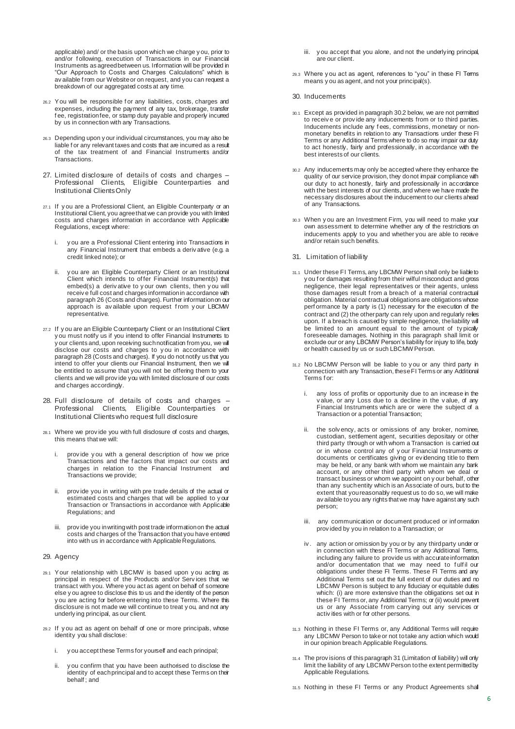applicable) and/ or the basis upon which we charge y ou, prior to and/or f ollowing, execution of Transactions in our Financial Instruments as agreed between us. Information will be provided in "Our Approach to Costs and Charges Calculations" which is av ailable f rom our Website or on request, and you can request a breakdown of our aggregated costs at any time.

- 26.2 You will be responsible f or any liabilities, costs, charges and expenses, including the payment of any tax, brokerage, transfer f ee, registration fee, or stamp duty payable and properly incurred by us in connection with any Transactions.
- 26.3 Depending upon y our individual circumstances, you may also be liable f or any relevant taxes and costs that are incurred as a result of the tax treatment of and Financial Instruments and/or Transactions.
- 27. Limited disclosure of details of costs and charges Professional Clients, Eligible Counterparties and Institutional Clients Only
- 27.1 If y ou are a Professional Client, an Eligible Counterparty or an Institutional Client, you agree that we can provide you with limited costs and charges information in accordance with Applicable Regulations, except where:
	- i. y ou are a Prof essional Client entering into Transactions in any Financial Instrument that embeds a deriv ative (e.g. a credit linked note); or
	- y ou are an Eligible Counterparty Client or an Institutional Client which intends to of fer Financial Instrument(s) that embed(s) a deriv ative to y our own clients, then y ou will receiv e full cost and charges information in accordance with paragraph 26 (Costs and charges). Further information on our approach is av ailable upon request f rom y our LBCMW representative.
- 27.2 If y ou are an Eligible Counterparty Client or an Institutional Client y ou must notify us if you intend to offer Financial Instruments to y our clients and, upon receiving such notification from you, we will disclose our costs and charges to you in accordance with paragraph 28 (Costs and charges). If you do not notify us that you intend to offer your clients our Financial Instrument, then we will be entitled to assume that you will not be offering them to your clients and we will prov ide you with limited disclosure of our costs and charges accordingly.
- 28. Full disclosure of details of costs and charges Professional Clients, Eligible Counterparties or Institutional Clientswho request full disclosure
- 28.1 Where we prov ide you with full disclosure of costs and charges, this means that we will:
	- provide y ou with a general description of how we price Transactions and the f actors that impact our costs and charges in relation to the Financial Instrument and Transactions we provide;
	- ii. prov ide you in writing with pre trade details of the actual or estimated costs and charges that will be applied to y our Transaction or Transactions in accordance with Applicable Regulations; and
	- iii. prov ide you in writing with post trade information on the actual costs and charges of the Transaction that you have entered into with us in accordance with Applicable Regulations.

#### 29. Agency

- 29.1 Your relationship with LBCMW is based upon y ou acting as principal in respect of the Products and/or Serv ices that we transact with you. Where you act as agent on behalf of someone else y ou agree to disclose this to us and the identity of the person y ou are acting for before entering into these Terms. Where this disclosure is not made we will continue to treat y ou, and not any underly ing principal, as our client.
- 29.2 If y ou act as agent on behalf of one or more principals, whose identity you shall disclose:
	- y ou accept these Terms for yourself and each principal;
	- ii. y ou confirm that you have been authorised to disclose the identity of each principal and to accept these Terms on their behalf ; and
- iii. vou accept that you alone, and not the underlying principal are our client.
- 29.3 Where y ou act as agent, references to "you" in these FI Terms means y ou as agent, and not your principal(s).

#### 30. Inducements

- 30.1 Except as provided in paragraph 30.2 below, we are not permitted to receiv e or prov ide any inducements from or to third parties. Inducements include any f ees, commissions, monetary or nonmonetary benefits in relation to any Transactions under these FI Terms or any Additional Terms where to do so may impair our duty to act honestly, fairly and professionally, in accordance with the best interests of our clients.
- 30.2 Any inducements may only be accepted where they enhance the quality of our service provision, they do not impair compliance with our duty to act honestly, fairly and professionally in accordance with the best interests of our clients, and where we have made the necessary disclosures about the inducement to our clients ahead of any Transactions.
- 30.3 When y ou are an Investment Firm, you will need to make your own assessment to determine whether any of the restrictions on inducements apply to you and whether you are able to receive and/or retain such benefits.

#### 31. Limitation of liability

- 31.1 Under these FI Terms, any LBCMW Person shall only be liable to y ou f or damages resulting from their wilful misconduct and gross negligence, their legal representatives or their agents, unless those damages result f rom a breach of a material contractual obligation. Material contractual obligations are obligations whose perf ormance by a party is (1) necessary for the execution of the contract and (2) the other party can rely upon and regularly relies upon. If a breach is caused by simple negligence, the liability will be limited to an amount equal to the amount of ty pically f oreseeable damages. Nothing in this paragraph shall limit or exclude our or any LBCMW Person's liability for injury to life, body or health caused by us or such LBCMW Person.
- 31.2 No LBCMW Person will be liable to y ou or any third party in connection with any Transaction, these FI Terms or any Additional Terms for:
	- i. any loss of profits or opportunity due to an increase in the v alue, or any Loss due to a decline in the v alue, of any Financial Instruments which are or were the subject of a Transaction or a potential Transaction;
	- ii. the solvency, acts or omissions of any broker, nominee, custodian, settlement agent, securities depositary or other third party through or with whom a Transaction is carried out or in whose control any of y our Financial Instruments or documents or certificates giving or ev idencing title to them may be held, or any bank with whom we maintain any bank account, or any other third party with whom we deal or transact business or whom we appoint on y our behalf, other than any such entity which is an Associate of ours, but to the extent that you reasonably request us to do so, we will make av ailable to you any rights that we may have against any such person;
	- iii. any communication or document produced or inf ormation prov ided by you in relation to a Transaction; or
	- iv . any action or omission by you or by any third party under or in connection with these FI Terms or any Additional Terms, including any failure to provide us with accurate information and/or documentation that we may need to fulfil our obligations under these FI Terms. These FI Terms and any Additional Terms set out the full extent of our duties and no LBCMW Person is subject to any fiduciary or equitable duties which: (i) are more extensive than the obligations set out in these FI Terms or, any Additional Terms; or (ii) would prevent us or any Associate f rom carrying out any services or activ ities with or for other persons.
- 31.3 Nothing in these FI Terms or, any Additional Terms will require any LBCMW Person to take or not to take any action which would in our opinion breach Applicable Regulations.
- 31.4 The prov isions of this paragraph 31 (Limitation of liability) will only limit the liability of any LBCMW Person to the extent permitted by Applicable Regulations.
- 31.5 Nothing in these FI Terms or any Product Agreements shall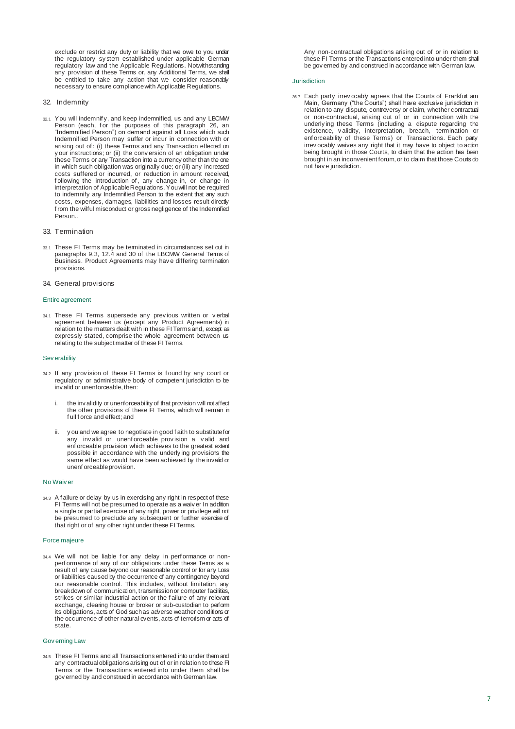exclude or restrict any duty or liability that we owe to you under the regulatory sy stem established under applicable German regulatory law and the Applicable Regulations. Notwithstanding any provision of these Terms or, any Additional Terms, we shall be entitled to take any action that we consider reasonably necessary to ensure compliance with Applicable Regulations.

#### 32. Indemnity

32.1 You will indemnif y, and keep indemnified, us and any LBCMW Person (each, for the purposes of this paragraph 26, an "Indemnified Person") on demand against all Loss which such Indemnified Person may suffer or incur in connection with or arising out of : (i) these Terms and any Transaction effected on y our instructions; or (ii) the conversion of an obligation under these Terms or any Transaction into a currency other than the one in which such obligation was originally due; or (iii) any increased costs suffered or incurred, or reduction in amount received, f ollowing the introduction of , any change in, or change in interpretation of Applicable Regulations. You will not be required to indemnify any Indemnified Person to the extent that any such costs, expenses, damages, liabilities and losses result directly from the wilful misconduct or gross negligence of the Indemnified Person..

#### 33. Termination

- 33.1 These FI Terms may be terminated in circumstances set out in paragraphs 9.3, 12.4 and 30 of the LBCMW General Terms of Business. Product Agreements may hav e differing termination prov isions.
- 34. General provisions

#### Entire agreement

34.1 These FI Terms supersede any prev ious written or v erbal agreement between us (except any Product Agreements) in relation to the matters dealt with in these FI Terms and, except as expressly stated, comprise the whole agreement between us relating to the subject matter of these FI Terms.

#### Sev erability

- 34.2 If any prov ision of these FI Terms is f ound by any court or regulatory or administrative body of competent jurisdiction to be inv alid or unenforceable, then:
	- the inv alidity or unenforceability of that provision will not affect the other provisions of these FI Terms, which will remain in f ull f orce and effect; and
	- y ou and we agree to negotiate in good f aith to substitute for any inv alid or unenf orceable prov ision a v alid and enf orceable provision which achieves to the greatest extent possible in accordance with the underly ing provisions the same effect as would have been achieved by the invalid or unenf orceable provision.

#### No Waiv er

34.3 A f ailure or delay by us in exercising any right in respect of these FI Terms will not be presumed to operate as a waiv er In addition a single or partial exercise of any right, power or privilege will not be presumed to preclude any subsequent or further exercise of that right or of any other right under these FI Terms.

#### Force majeure

34.4 We will not be liable for any delay in performance or nonperf ormance of any of our obligations under these Terms as a result of any cause beyond our reasonable control or for any Loss or liabilities caused by the occurrence of any contingency beyond our reasonable control. This includes, without limitation, any breakdown of communication, transmission or computer facilities, strikes or similar industrial action or the f ailure of any relevant exchange, clearing house or broker or sub-custodian to perform its obligations, acts of God such as adverse weather conditions or the occurrence of other natural events, acts of terrorism or acts of state.

#### Gov erning Law

34.5 These FI Terms and all Transactions entered into under them and any contractual obligations arising out of or in relation to these FI Terms or the Transactions entered into under them shall be gov erned by and construed in accordance with German law.

Any non-contractual obligations arising out of or in relation to these FI Terms or the Transactions entered into under them shall be gov erned by and construed in accordance with German law.

#### Jurisdiction

36.7 Each party irrev ocably agrees that the Courts of Frankfurt am Main, Germany ("the Courts") shall have exclusive jurisdiction in relation to any dispute, controversy or claim, whether contractual or non-contractual, arising out of or in connection with the underly ing these Terms (including a dispute regarding the existence, v alidity, interpretation, breach, termination or enf orceability of these Terms) or Transactions. Each party irrev ocably waives any right that it may have to object to action being brought in those Courts, to claim that the action has been brought in an inconvenient forum, or to claim that those Courts do not hav e jurisdiction.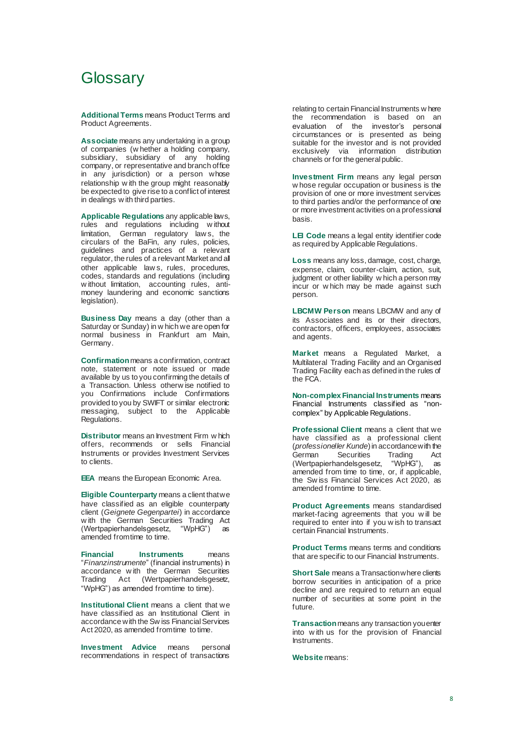### **Glossary**

**Additional Terms** means Product Terms and Product Agreements.

**Associate** means any undertaking in a group of companies (w hether a holding company, subsidiary, subsidiary of any holding company, or representative and branch office in any jurisdiction) or a person whose relationship w ith the group might reasonably be expected to give rise to a conflict of interest in dealings w ith third parties.

**Applicable Regulations** any applicable laws, rules and regulations including w ithout limitation, German regulatory law s, the circulars of the BaFin, any rules, policies, guidelines and practices of a relevant regulator, the rules of a relevant Market and all other applicable law s, rules, procedures, codes, standards and regulations (including w ithout limitation, accounting rules, antimoney laundering and economic sanctions legislation).

**Business Day** means a day (other than a Saturday or Sunday) in w hich we are open for normal business in Frankfurt am Main, Germany.

**Confirmation** means a confirmation, contract note, statement or note issued or made available by us to you confirming the details of a Transaction. Unless otherw ise notified to you Confirmations include Confirmations provided to you by SWIFT or similar electronic messaging, subject to the Applicable Regulations.

**Distributor** means an Investment Firm w hich offers, recommends or sells Financial Instruments or provides Investment Services to clients.

**EEA** means the European Economic Area.

**Eligible Counterparty means a client that we** have classified as an eligible counterparty client (*Geignete Gegenpartei*) in accordance w ith the German Securities Trading Act (Wertpapierhandelsgesetz, "WpHG") as amended from time to time.

**Financial Instruments** means "*Finanzinstrumente*" (financial instruments) in accordance with the German Securities<br>Trading Act (Wertpapierhandelsgesetz, Act (Wertpapierhandelsgesetz, "WpHG") as amended from time to time).

**Institutional Client** means a client that we have classified as an Institutional Client in accordance with the Sw iss Financial Services Act 2020, as amended from time to time.

**Investment Advice** means personal recommendations in respect of transactions

relating to certain Financial Instruments w here the recommendation is based on an evaluation of the investor's personal circumstances or is presented as being suitable for the investor and is not provided exclusively via information distribution channels or for the general public.

**Investment Firm** means any legal person w hose regular occupation or business is the provision of one or more investment services to third parties and/or the performance of one or more investment activities on a professional basis.

**LEI Code** means a legal entity identifier code as required by Applicable Regulations.

**Loss** means any loss, damage, cost, charge, expense, claim, counter-claim, action, suit, judgment or other liability w hich a person may incur or w hich may be made against such person.

**LBCMW Person** means LBCMW and any of its Associates and its or their directors, contractors, officers, employees, associates and agents.

**Market** means a Regulated Market, a Multilateral Trading Facility and an Organised Trading Facility each as defined in the rules of the FCA.

**Non-complex Financial Instruments** means Financial Instruments classified as "noncomplex" by Applicable Regulations.

**Professional Client** means a client that we have classified as a professional client (*professioneller Kunde*) in accordance with the Securities Trading (Wertpapierhandelsgesetz, "WpHG"), as amended from time to time, or, if applicable, the Sw iss Financial Services Act 2020, as amended from time to time.

**Product Agreements** means standardised market-facing agreements that you w ill be required to enter into if you w ish to transact certain Financial Instruments.

**Product Terms** means terms and conditions that are specific to our Financial Instruments.

**Short Sale** means a Transaction where clients borrow securities in anticipation of a price decline and are required to return an equal number of securities at some point in the future.

**Transaction**means any transaction you enter into w ith us for the provision of Financial **Instruments** 

**Website** means: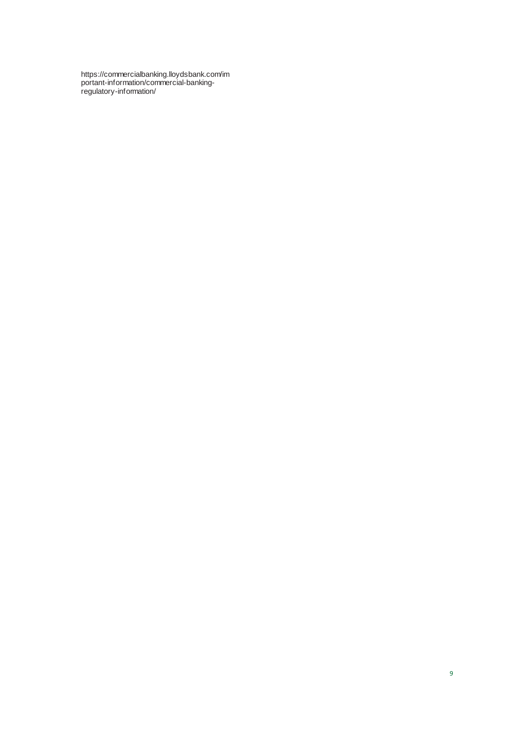https://commercialbanking.lloydsbank.com/im portant-information/commercial-bankingregulatory-information/